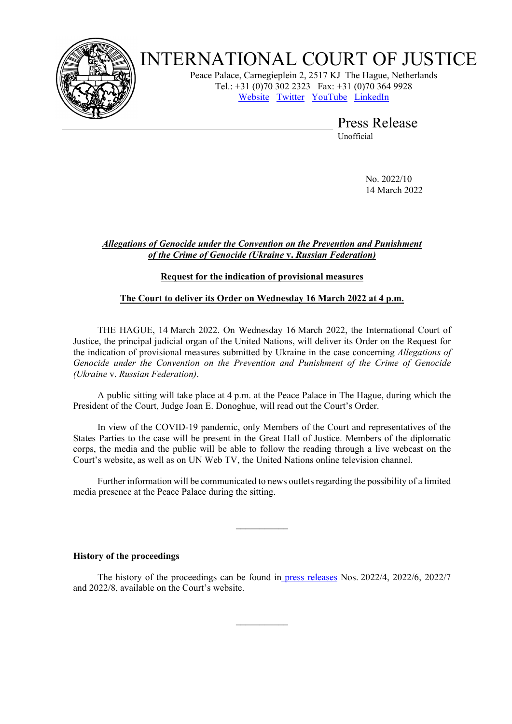

# INTERNATIONAL COURT OF JUSTICE

Peace Palace, Carnegieplein 2, 2517 KJ The Hague, Netherlands Tel.: +31 (0)70 302 2323 Fax: +31 (0)70 364 9928 [Website](http://www.icj-cij.org/) [Twitter](https://twitter.com/cij_icj) [YouTube](https://www.youtube.com/channel/UC28oiS6IwkVvWL7kLH1-QPg) [LinkedIn](https://www.linkedin.com/company/international-court-of-justice/)

Press Release

Unofficial

No. 2022/10 14 March 2022

## *Allegations of Genocide under the Convention on the Prevention and Punishment of the Crime of Genocide (Ukraine* **v.** *Russian Federation)*

## **Request for the indication of provisional measures**

## **The Court to deliver its Order on Wednesday 16 March 2022 at 4 p.m.**

THE HAGUE, 14 March 2022. On Wednesday 16 March 2022, the International Court of Justice, the principal judicial organ of the United Nations, will deliver its Order on the Request for the indication of provisional measures submitted by Ukraine in the case concerning *Allegations of Genocide under the Convention on the Prevention and Punishment of the Crime of Genocide (Ukraine* v. *Russian Federation)*.

A public sitting will take place at 4 p.m. at the Peace Palace in The Hague, during which the President of the Court, Judge Joan E. Donoghue, will read out the Court's Order.

In view of the COVID-19 pandemic, only Members of the Court and representatives of the States Parties to the case will be present in the Great Hall of Justice. Members of the diplomatic corps, the media and the public will be able to follow the reading through a live webcast on the Court's website, as well as on UN Web TV, the United Nations online television channel.

Further information will be communicated to news outlets regarding the possibility of a limited media presence at the Peace Palace during the sitting.

 $\frac{1}{2}$ 

#### **History of the proceedings**

The history of the proceedings can be found in [press releases](https://www.icj-cij.org/en/case/182/press-releases) Nos. 2022/4, 2022/6, 2022/7 and 2022/8, available on the Court's website.

 $\frac{1}{2}$